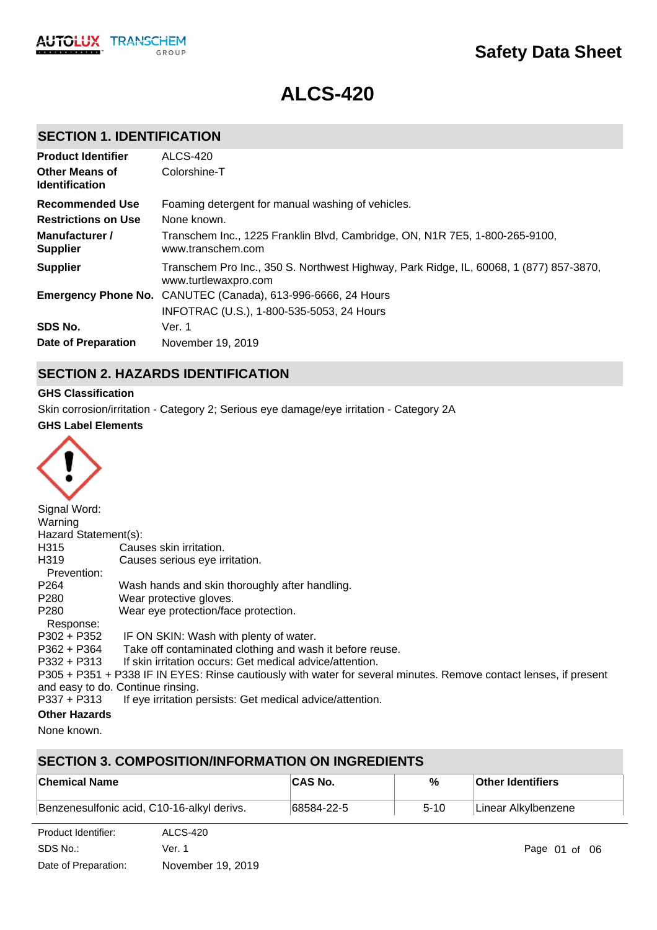# **Safety Data Sheet**

# **ALCS-420**

## **SECTION 1. IDENTIFICATION**

| <b>Product Identifier</b>                      | <b>ALCS-420</b>                                                                                                |
|------------------------------------------------|----------------------------------------------------------------------------------------------------------------|
| <b>Other Means of</b><br><b>Identification</b> | Colorshine-T                                                                                                   |
| <b>Recommended Use</b>                         | Foaming detergent for manual washing of vehicles.                                                              |
| <b>Restrictions on Use</b>                     | None known.                                                                                                    |
| Manufacturer /<br><b>Supplier</b>              | Transchem Inc., 1225 Franklin Blvd, Cambridge, ON, N1R 7E5, 1-800-265-9100,<br>www.transchem.com               |
| <b>Supplier</b>                                | Transchem Pro Inc., 350 S. Northwest Highway, Park Ridge, IL, 60068, 1 (877) 857-3870,<br>www.turtlewaxpro.com |
|                                                | <b>Emergency Phone No.</b> CANUTEC (Canada), 613-996-6666, 24 Hours                                            |
|                                                | INFOTRAC (U.S.), 1-800-535-5053, 24 Hours                                                                      |
| SDS No.                                        | Ver. 1                                                                                                         |
| Date of Preparation                            | November 19, 2019                                                                                              |

## **SECTION 2. HAZARDS IDENTIFICATION**

## **GHS Classification**

Skin corrosion/irritation - Category 2; Serious eye damage/eye irritation - Category 2A

#### **GHS Label Elements**



| Signal Word:         |                                                                                                                   |
|----------------------|-------------------------------------------------------------------------------------------------------------------|
| Warning              |                                                                                                                   |
| Hazard Statement(s): |                                                                                                                   |
| H315                 | Causes skin irritation.                                                                                           |
| H319                 | Causes serious eye irritation.                                                                                    |
| Prevention:          |                                                                                                                   |
| P <sub>264</sub>     | Wash hands and skin thoroughly after handling.                                                                    |
| P280                 | Wear protective gloves.                                                                                           |
| P280                 | Wear eye protection/face protection.                                                                              |
| Response:            |                                                                                                                   |
| P302 + P352          | IF ON SKIN: Wash with plenty of water.                                                                            |
| P362 + P364          | Take off contaminated clothing and wash it before reuse.                                                          |
| $P332 + P313$        | If skin irritation occurs: Get medical advice/attention.                                                          |
|                      | P305 + P351 + P338 IF IN EYES: Rinse cautiously with water for several minutes. Remove contact lenses, if present |
|                      | and easy to do. Continue rinsing.                                                                                 |
| P337 + P313          | If eye irritation persists: Get medical advice/attention.                                                         |
| Athen Hemande        |                                                                                                                   |

## **Other Hazards**

None known.

## **SECTION 3. COMPOSITION/INFORMATION ON INGREDIENTS**

| ∣Chemical Name                             | <b>CAS No.</b> | %        | <b>Other Identifiers</b> |
|--------------------------------------------|----------------|----------|--------------------------|
| Benzenesulfonic acid, C10-16-alkyl derivs. | 68584-22-5     | $5 - 10$ | Linear Alkylbenzene      |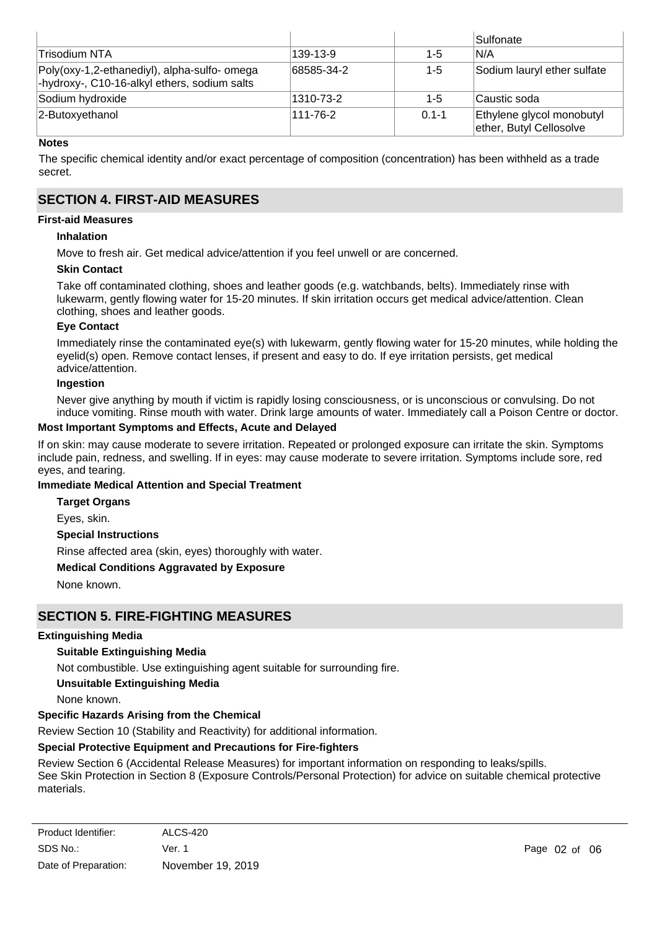|                                                                                              |            |           | Sulfonate                                            |
|----------------------------------------------------------------------------------------------|------------|-----------|------------------------------------------------------|
| Trisodium NTA                                                                                | 139-13-9   | $1 - 5$   | N/A                                                  |
| Poly(oxy-1,2-ethanediyl), alpha-sulfo- omega<br>-hydroxy-, C10-16-alkyl ethers, sodium salts | 68585-34-2 | $1 - 5$   | Sodium lauryl ether sulfate                          |
| Sodium hydroxide                                                                             | 1310-73-2  | $1-5$     | Caustic soda                                         |
| 2-Butoxyethanol                                                                              | 111-76-2   | $0.1 - 1$ | Ethylene glycol monobutyl<br>ether, Butyl Cellosolve |

#### **Notes**

The specific chemical identity and/or exact percentage of composition (concentration) has been withheld as a trade secret.

## **SECTION 4. FIRST-AID MEASURES**

## **First-aid Measures**

## **Inhalation**

Move to fresh air. Get medical advice/attention if you feel unwell or are concerned.

#### **Skin Contact**

Take off contaminated clothing, shoes and leather goods (e.g. watchbands, belts). Immediately rinse with lukewarm, gently flowing water for 15-20 minutes. If skin irritation occurs get medical advice/attention. Clean clothing, shoes and leather goods.

#### **Eye Contact**

Immediately rinse the contaminated eye(s) with lukewarm, gently flowing water for 15-20 minutes, while holding the eyelid(s) open. Remove contact lenses, if present and easy to do. If eye irritation persists, get medical advice/attention.

#### **Ingestion**

Never give anything by mouth if victim is rapidly losing consciousness, or is unconscious or convulsing. Do not induce vomiting. Rinse mouth with water. Drink large amounts of water. Immediately call a Poison Centre or doctor.

#### **Most Important Symptoms and Effects, Acute and Delayed**

If on skin: may cause moderate to severe irritation. Repeated or prolonged exposure can irritate the skin. Symptoms include pain, redness, and swelling. If in eyes: may cause moderate to severe irritation. Symptoms include sore, red eyes, and tearing.

## **Immediate Medical Attention and Special Treatment**

**Target Organs**

Eyes, skin.

## **Special Instructions**

Rinse affected area (skin, eyes) thoroughly with water.

## **Medical Conditions Aggravated by Exposure**

None known.

## **SECTION 5. FIRE-FIGHTING MEASURES**

## **Extinguishing Media**

## **Suitable Extinguishing Media**

Not combustible. Use extinguishing agent suitable for surrounding fire.

#### **Unsuitable Extinguishing Media**

None known.

## **Specific Hazards Arising from the Chemical**

Review Section 10 (Stability and Reactivity) for additional information.

## **Special Protective Equipment and Precautions for Fire-fighters**

Review Section 6 (Accidental Release Measures) for important information on responding to leaks/spills. See Skin Protection in Section 8 (Exposure Controls/Personal Protection) for advice on suitable chemical protective materials.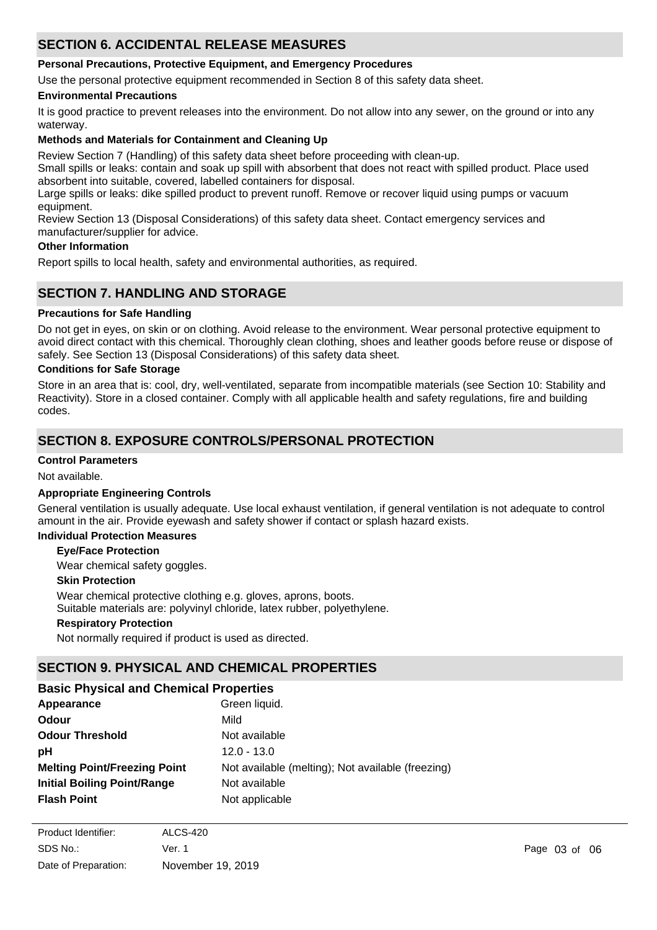## **SECTION 6. ACCIDENTAL RELEASE MEASURES**

## **Personal Precautions, Protective Equipment, and Emergency Procedures**

Use the personal protective equipment recommended in Section 8 of this safety data sheet.

## **Environmental Precautions**

It is good practice to prevent releases into the environment. Do not allow into any sewer, on the ground or into any waterway.

## **Methods and Materials for Containment and Cleaning Up**

Review Section 7 (Handling) of this safety data sheet before proceeding with clean-up.

Small spills or leaks: contain and soak up spill with absorbent that does not react with spilled product. Place used absorbent into suitable, covered, labelled containers for disposal.

Large spills or leaks: dike spilled product to prevent runoff. Remove or recover liquid using pumps or vacuum equipment.

Review Section 13 (Disposal Considerations) of this safety data sheet. Contact emergency services and manufacturer/supplier for advice.

#### **Other Information**

Report spills to local health, safety and environmental authorities, as required.

## **SECTION 7. HANDLING AND STORAGE**

## **Precautions for Safe Handling**

Do not get in eyes, on skin or on clothing. Avoid release to the environment. Wear personal protective equipment to avoid direct contact with this chemical. Thoroughly clean clothing, shoes and leather goods before reuse or dispose of safely. See Section 13 (Disposal Considerations) of this safety data sheet.

## **Conditions for Safe Storage**

Store in an area that is: cool, dry, well-ventilated, separate from incompatible materials (see Section 10: Stability and Reactivity). Store in a closed container. Comply with all applicable health and safety regulations, fire and building codes.

## **SECTION 8. EXPOSURE CONTROLS/PERSONAL PROTECTION**

## **Control Parameters**

Not available.

## **Appropriate Engineering Controls**

General ventilation is usually adequate. Use local exhaust ventilation, if general ventilation is not adequate to control amount in the air. Provide eyewash and safety shower if contact or splash hazard exists.

## **Individual Protection Measures**

#### **Eye/Face Protection**

Wear chemical safety goggles.

#### **Skin Protection**

**Respiratory Protection** Wear chemical protective clothing e.g. gloves, aprons, boots. Suitable materials are: polyvinyl chloride, latex rubber, polyethylene.

Not normally required if product is used as directed.

## **SECTION 9. PHYSICAL AND CHEMICAL PROPERTIES**

| <b>Basic Physical and Chemical Properties</b> |                                                   |  |  |
|-----------------------------------------------|---------------------------------------------------|--|--|
| Appearance                                    | Green liquid.                                     |  |  |
| <b>Odour</b>                                  | Mild                                              |  |  |
| <b>Odour Threshold</b>                        | Not available                                     |  |  |
| рH                                            | $12.0 - 13.0$                                     |  |  |
| <b>Melting Point/Freezing Point</b>           | Not available (melting); Not available (freezing) |  |  |
| <b>Initial Boiling Point/Range</b>            | Not available                                     |  |  |
| <b>Flash Point</b>                            | Not applicable                                    |  |  |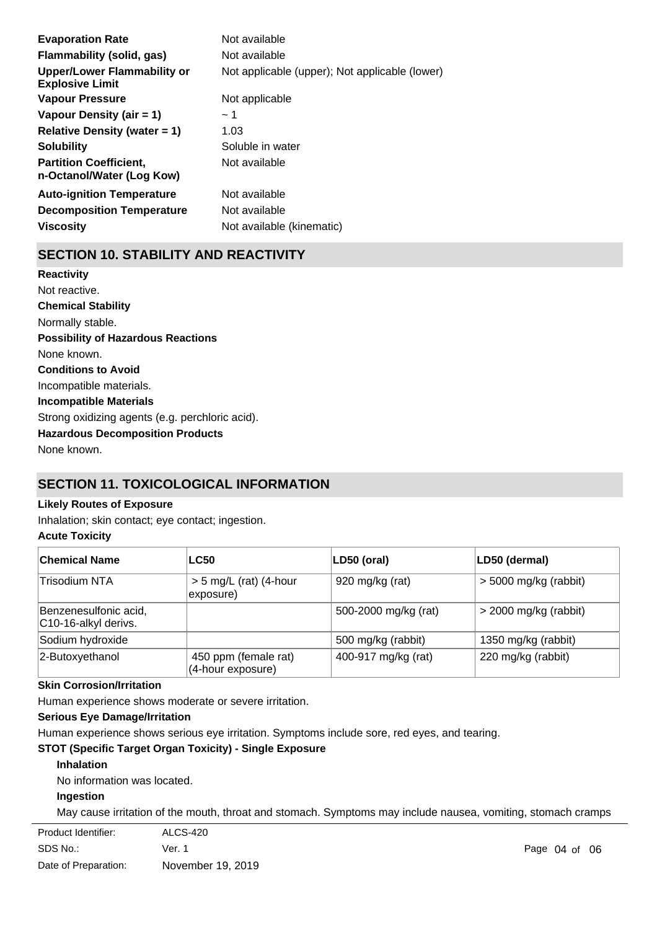| <b>Evaporation Rate</b>                                    | Not available                                  |
|------------------------------------------------------------|------------------------------------------------|
| Flammability (solid, gas)                                  | Not available                                  |
| Upper/Lower Flammability or<br><b>Explosive Limit</b>      | Not applicable (upper); Not applicable (lower) |
| <b>Vapour Pressure</b>                                     | Not applicable                                 |
| Vapour Density (air $= 1$ )                                | ~1~                                            |
| Relative Density (water $= 1$ )                            | 1.03                                           |
| <b>Solubility</b>                                          | Soluble in water                               |
| <b>Partition Coefficient,</b><br>n-Octanol/Water (Log Kow) | Not available                                  |
| <b>Auto-ignition Temperature</b>                           | Not available                                  |
| <b>Decomposition Temperature</b>                           | Not available                                  |
| <b>Viscositv</b>                                           | Not available (kinematic)                      |

## **SECTION 10. STABILITY AND REACTIVITY**

**Chemical Stability** Normally stable. **Conditions to Avoid** Incompatible materials. **Incompatible Materials** Strong oxidizing agents (e.g. perchloric acid). **Hazardous Decomposition Products** None known. **Possibility of Hazardous Reactions** None known. **Reactivity** Not reactive.

## **SECTION 11. TOXICOLOGICAL INFORMATION**

## **Likely Routes of Exposure**

Inhalation; skin contact; eye contact; ingestion.

## **Acute Toxicity**

| ∣Chemical Name                                | <b>LC50</b>                               | LD50 (oral)          | LD50 (dermal)           |
|-----------------------------------------------|-------------------------------------------|----------------------|-------------------------|
| Trisodium NTA                                 | $> 5$ mg/L (rat) (4-hour<br>exposure)     | 920 mg/kg (rat)      | $>$ 5000 mg/kg (rabbit) |
| Benzenesulfonic acid,<br>C10-16-alkyl derivs. |                                           | 500-2000 mg/kg (rat) | $>$ 2000 mg/kg (rabbit) |
| Sodium hydroxide                              |                                           | 500 mg/kg (rabbit)   | 1350 mg/kg (rabbit)     |
| 2-Butoxyethanol                               | 450 ppm (female rat)<br>(4-hour exposure) | 400-917 mg/kg (rat)  | 220 mg/kg (rabbit)      |

#### **Skin Corrosion/Irritation**

Human experience shows moderate or severe irritation.

#### **Serious Eye Damage/Irritation**

Human experience shows serious eye irritation. Symptoms include sore, red eyes, and tearing.

## **STOT (Specific Target Organ Toxicity) - Single Exposure**

## **Inhalation**

No information was located.

#### **Ingestion**

May cause irritation of the mouth, throat and stomach. Symptoms may include nausea, vomiting, stomach cramps

| ALCS-420          |
|-------------------|
| Ver. 1            |
| November 19, 2019 |
|                   |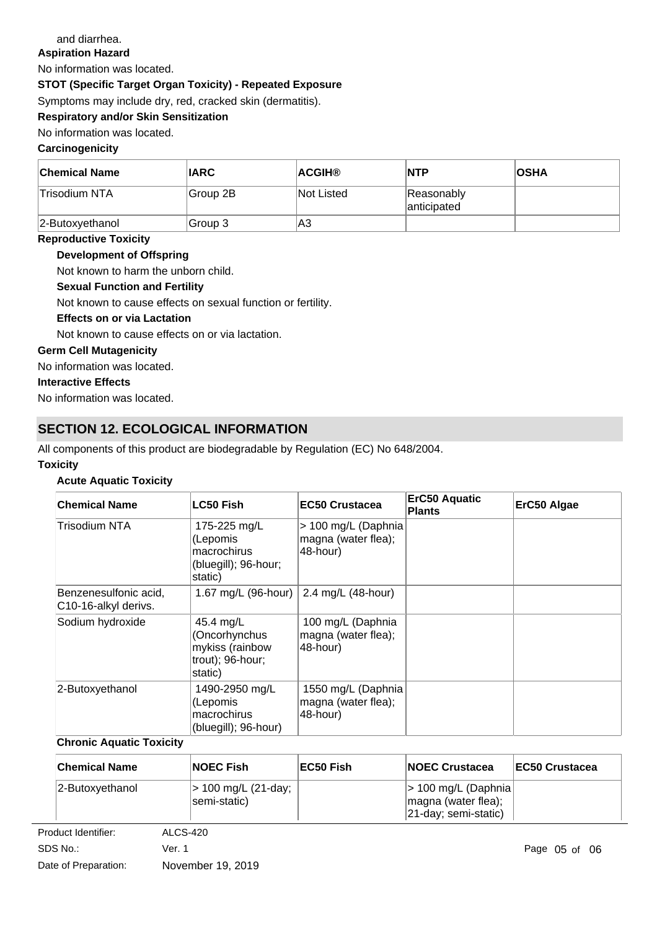## and diarrhea.

**Aspiration Hazard**

No information was located.

**STOT (Specific Target Organ Toxicity) - Repeated Exposure**

Symptoms may include dry, red, cracked skin (dermatitis).

**Respiratory and/or Skin Sensitization**

## No information was located.

## **Carcinogenicity**

| ∣Chemical Name  | <b>IARC</b> | ∣ACGIH®           | <b>NTP</b>                | <b>OSHA</b> |
|-----------------|-------------|-------------------|---------------------------|-------------|
| ∣Trisodium NTA  | Group 2B    | <b>Not Listed</b> | Reasonably<br>anticipated |             |
| 2-Butoxyethanol | Group 3     | A3                |                           |             |

#### **Reproductive Toxicity**

## **Development of Offspring**

Not known to harm the unborn child.

## **Sexual Function and Fertility**

Not known to cause effects on sexual function or fertility.

#### **Effects on or via Lactation**

Not known to cause effects on or via lactation.

#### **Germ Cell Mutagenicity**

No information was located.

## **Interactive Effects**

No information was located.

## **SECTION 12. ECOLOGICAL INFORMATION**

All components of this product are biodegradable by Regulation (EC) No 648/2004.

#### **Toxicity**

## **Acute Aquatic Toxicity**

| <b>Chemical Name</b>                          | <b>LC50 Fish</b>                                                             | <b>EC50 Crustacea</b>                                  | <b>ErC50 Aquatic</b><br><b>Plants</b> | ErC50 Algae |
|-----------------------------------------------|------------------------------------------------------------------------------|--------------------------------------------------------|---------------------------------------|-------------|
| Trisodium NTA                                 | 175-225 mg/L<br>(Lepomis<br>macrochirus<br>(bluegill); 96-hour;<br>static)   | > 100 mg/L (Daphnia<br>magna (water flea);<br>48-hour) |                                       |             |
| Benzenesulfonic acid,<br>C10-16-alkyl derivs. | 1.67 mg/L (96-hour)                                                          | 2.4 mg/L (48-hour)                                     |                                       |             |
| Sodium hydroxide                              | 45.4 mg/L<br>(Oncorhynchus<br>mykiss (rainbow<br>trout); 96-hour;<br>static) | 100 mg/L (Daphnia<br>magna (water flea);<br>48-hour)   |                                       |             |
| 2-Butoxyethanol                               | 1490-2950 mg/L<br>(Lepomis<br>macrochirus<br>(bluegill); 96-hour)            | 1550 mg/L (Daphnia<br>magna (water flea);<br>48-hour)  |                                       |             |

## **Chronic Aquatic Toxicity**

| <b>Chemical Name</b> | <b>NOEC Fish</b>                    | EC50 Fish | <b>INOEC Crustacea</b>                                                      | <b>EC50 Crustacea</b> |
|----------------------|-------------------------------------|-----------|-----------------------------------------------------------------------------|-----------------------|
| 2-Butoxyethanol      | > 100 mg/L (21-day;<br>semi-static) |           | $ $ > 100 mg/L (Daphnia)<br>magna (water flea);<br>$ 21$ -day; semi-static) |                       |